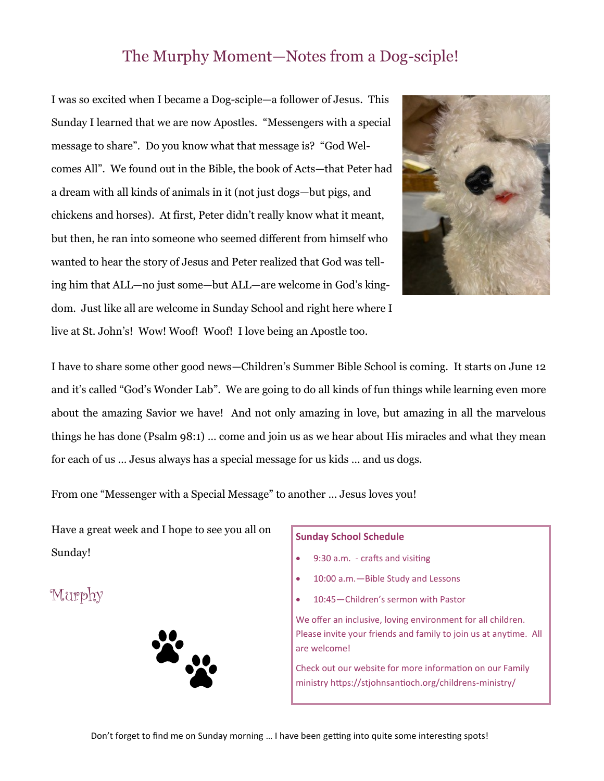## The Murphy Moment—Notes from a Dog-sciple!

I was so excited when I became a Dog-sciple—a follower of Jesus. This Sunday I learned that we are now Apostles. "Messengers with a special message to share". Do you know what that message is? "God Welcomes All". We found out in the Bible, the book of Acts—that Peter had a dream with all kinds of animals in it (not just dogs—but pigs, and chickens and horses). At first, Peter didn't really know what it meant, but then, he ran into someone who seemed different from himself who wanted to hear the story of Jesus and Peter realized that God was telling him that ALL—no just some—but ALL—are welcome in God's kingdom. Just like all are welcome in Sunday School and right here where I live at St. John's! Wow! Woof! Woof! I love being an Apostle too.



I have to share some other good news—Children's Summer Bible School is coming. It starts on June 12 and it's called "God's Wonder Lab". We are going to do all kinds of fun things while learning even more about the amazing Savior we have! And not only amazing in love, but amazing in all the marvelous things he has done (Psalm 98:1) … come and join us as we hear about His miracles and what they mean for each of us … Jesus always has a special message for us kids … and us dogs.

From one "Messenger with a Special Message" to another … Jesus loves you!

Have a great week and I hope to see you all on Sunday!

Murphy



## **Sunday School Schedule**

- 9:30 a.m. crafts and visiting
- 10:00 a.m. Bible Study and Lessons
- 10:45—Children's sermon with Pastor

We offer an inclusive, loving environment for all children. Please invite your friends and family to join us at anytime. All are welcome!

Check out our website for more information on our Family ministry https://stjohnsantioch.org/childrens-ministry/